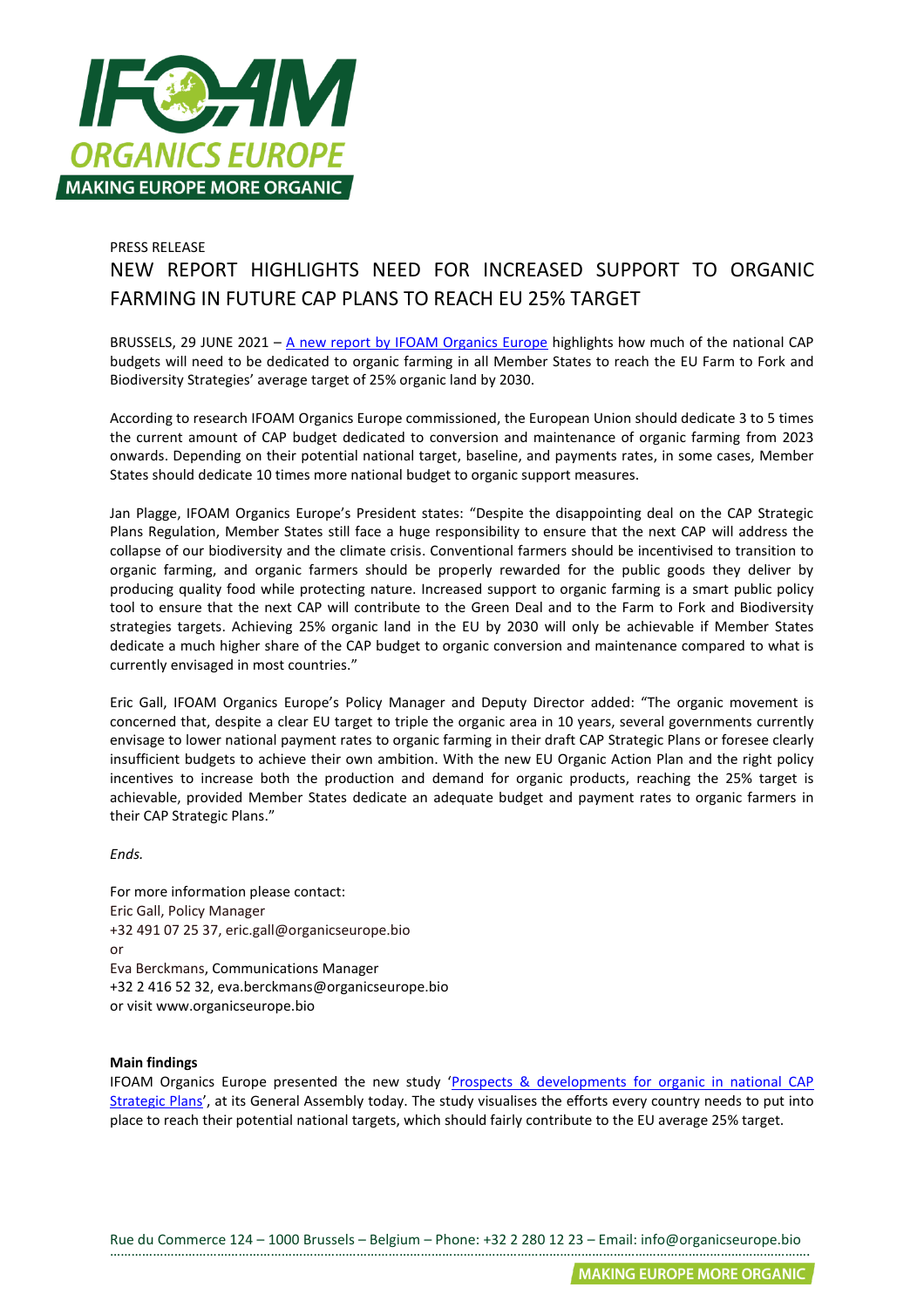

## PRESS RELEASE NEW REPORT HIGHLIGHTS NEED FOR INCREASED SUPPORT TO ORGANIC FARMING IN FUTURE CAP PLANS TO REACH EU 25% TARGET

BRUSSELS, 29 JUNE 2021 – [A new report by IFOAM Organics Europe](https://www.organicseurope.bio/content/uploads/2021/06/ifoameu_advocacy_CAP_StrategicPlansAnd25Target_202106.pdf?dd) highlights how much of the national CAP budgets will need to be dedicated to organic farming in all Member States to reach the EU Farm to Fork and Biodiversity Strategies' average target of 25% organic land by 2030.

According to research IFOAM Organics Europe commissioned, the European Union should dedicate 3 to 5 times the current amount of CAP budget dedicated to conversion and maintenance of organic farming from 2023 onwards. Depending on their potential national target, baseline, and payments rates, in some cases, Member States should dedicate 10 times more national budget to organic support measures.

Jan Plagge, IFOAM Organics Europe's President states: "Despite the disappointing deal on the CAP Strategic Plans Regulation, Member States still face a huge responsibility to ensure that the next CAP will address the collapse of our biodiversity and the climate crisis. Conventional farmers should be incentivised to transition to organic farming, and organic farmers should be properly rewarded for the public goods they deliver by producing quality food while protecting nature. Increased support to organic farming is a smart public policy tool to ensure that the next CAP will contribute to the Green Deal and to the Farm to Fork and Biodiversity strategies targets. Achieving 25% organic land in the EU by 2030 will only be achievable if Member States dedicate a much higher share of the CAP budget to organic conversion and maintenance compared to what is currently envisaged in most countries."

Eric Gall, IFOAM Organics Europe's Policy Manager and Deputy Director added: "The organic movement is concerned that, despite a clear EU target to triple the organic area in 10 years, several governments currently envisage to lower national payment rates to organic farming in their draft CAP Strategic Plans or foresee clearly insufficient budgets to achieve their own ambition. With the new EU Organic Action Plan and the right policy incentives to increase both the production and demand for organic products, reaching the 25% target is achievable, provided Member States dedicate an adequate budget and payment rates to organic farmers in their CAP Strategic Plans."

*Ends.*

For more information please contact: Eric Gall, Policy Manager +32 491 07 25 37, eric.gall@organicseurope.bio or Eva Berckmans, Communications Manager +32 2 416 52 32, eva.berckmans@organicseurope.bio or visit www.organicseurope.bio

## **Main findings**

IFOAM Organics Europe presented the new study '[Prospects & developments for organic in national CAP](https://www.organicseurope.bio/content/uploads/2021/06/ifoameu_advocacy_CAP_StrategicPlansAnd25Target_202106.pdf?dd)  [Strategic Plans](https://www.organicseurope.bio/content/uploads/2021/06/ifoameu_advocacy_CAP_StrategicPlansAnd25Target_202106.pdf?dd)', at its General Assembly today. The study visualises the efforts every country needs to put into place to reach their potential national targets, which should fairly contribute to the EU average 25% target.

Rue du Commerce 124 – 1000 Brussels – Belgium – Phone: +32 2 280 12 23 – Email: info@organicseurope.bio …………………………………………………………………………………………………………………………………………………………………………….